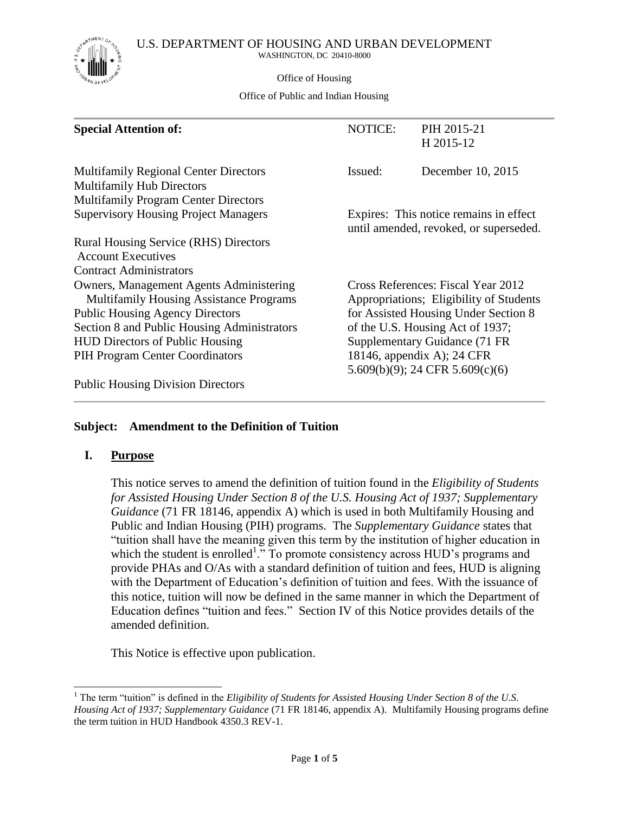U.S. DEPARTMENT OF HOUSING AND URBAN DEVELOPMENT



WASHINGTON, DC 20410-8000

Office of Housing

Office of Public and Indian Housing

| <b>Special Attention of:</b>                                                                                                    | <b>NOTICE:</b> | PIH 2015-21<br>H 2015-12                                                         |
|---------------------------------------------------------------------------------------------------------------------------------|----------------|----------------------------------------------------------------------------------|
| <b>Multifamily Regional Center Directors</b><br><b>Multifamily Hub Directors</b><br><b>Multifamily Program Center Directors</b> | Issued:        | December 10, 2015                                                                |
| <b>Supervisory Housing Project Managers</b>                                                                                     |                | Expires: This notice remains in effect<br>until amended, revoked, or superseded. |
| Rural Housing Service (RHS) Directors<br><b>Account Executives</b>                                                              |                |                                                                                  |
| <b>Contract Administrators</b>                                                                                                  |                |                                                                                  |
| <b>Owners, Management Agents Administering</b><br><b>Multifamily Housing Assistance Programs</b>                                |                | Cross References: Fiscal Year 2012<br>Appropriations; Eligibility of Students    |
| <b>Public Housing Agency Directors</b>                                                                                          |                | for Assisted Housing Under Section 8                                             |
| Section 8 and Public Housing Administrators                                                                                     |                | of the U.S. Housing Act of 1937;                                                 |
| <b>HUD Directors of Public Housing</b>                                                                                          |                | Supplementary Guidance (71 FR                                                    |
| PIH Program Center Coordinators                                                                                                 |                | 18146, appendix A); 24 CFR<br>5.609(b)(9); 24 CFR 5.609(c)(6)                    |
| <b>Public Housing Division Directors</b>                                                                                        |                |                                                                                  |

## **Subject: Amendment to the Definition of Tuition**

#### **I. Purpose**

 $\overline{\phantom{a}}$ 

This notice serves to amend the definition of tuition found in the *Eligibility of Students for Assisted Housing Under Section 8 of the U.S. Housing Act of 1937; Supplementary Guidance* (71 FR 18146, appendix A) which is used in both Multifamily Housing and Public and Indian Housing (PIH) programs. The *Supplementary Guidance* states that "tuition shall have the meaning given this term by the institution of higher education in which the student is enrolled<sup>1</sup>. To promote consistency across HUD's programs and provide PHAs and O/As with a standard definition of tuition and fees, HUD is aligning with the Department of Education's definition of tuition and fees. With the issuance of this notice, tuition will now be defined in the same manner in which the Department of Education defines "tuition and fees." Section IV of this Notice provides details of the amended definition.

This Notice is effective upon publication.

<sup>&</sup>lt;sup>1</sup> The term "tuition" is defined in the *Eligibility of Students for Assisted Housing Under Section 8 of the U.S. Housing Act of 1937; Supplementary Guidance* (71 FR 18146, appendix A). Multifamily Housing programs define the term tuition in HUD Handbook 4350.3 REV-1.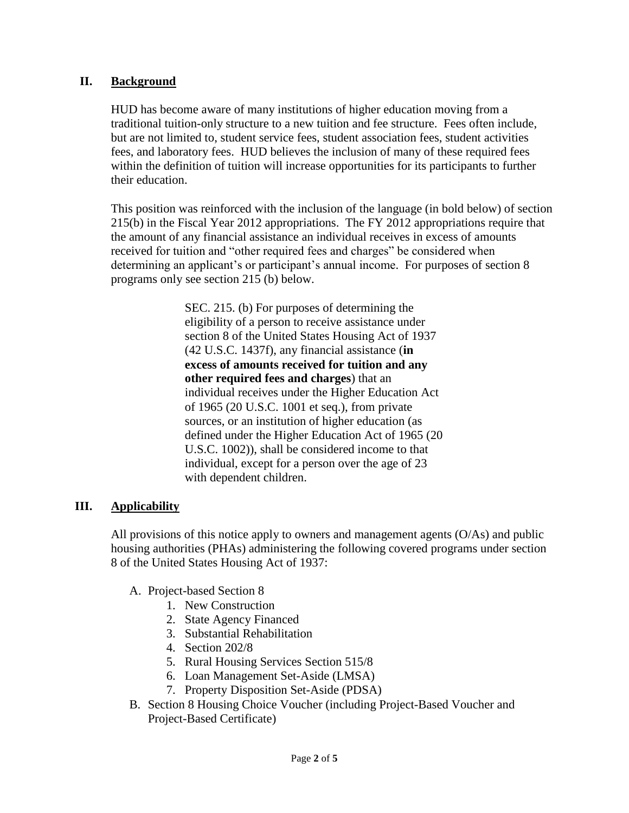## **II. Background**

HUD has become aware of many institutions of higher education moving from a traditional tuition-only structure to a new tuition and fee structure. Fees often include, but are not limited to, student service fees, student association fees, student activities fees, and laboratory fees. HUD believes the inclusion of many of these required fees within the definition of tuition will increase opportunities for its participants to further their education.

This position was reinforced with the inclusion of the language (in bold below) of section 215(b) in the Fiscal Year 2012 appropriations. The FY 2012 appropriations require that the amount of any financial assistance an individual receives in excess of amounts received for tuition and "other required fees and charges" be considered when determining an applicant's or participant's annual income. For purposes of section 8 programs only see section 215 (b) below.

> SEC. 215. (b) For purposes of determining the eligibility of a person to receive assistance under section 8 of the United States Housing Act of 1937 (42 U.S.C. 1437f), any financial assistance (**in excess of amounts received for tuition and any other required fees and charges**) that an individual receives under the Higher Education Act of 1965 (20 U.S.C. 1001 et seq.), from private sources, or an institution of higher education (as defined under the Higher Education Act of 1965 (20 U.S.C. 1002)), shall be considered income to that individual, except for a person over the age of 23 with dependent children.

#### **III. Applicability**

All provisions of this notice apply to owners and management agents (O/As) and public housing authorities (PHAs) administering the following covered programs under section 8 of the United States Housing Act of 1937:

- A. Project-based Section 8
	- 1. New Construction
	- 2. State Agency Financed
	- 3. Substantial Rehabilitation
	- 4. Section 202/8
	- 5. Rural Housing Services Section 515/8
	- 6. Loan Management Set-Aside (LMSA)
	- 7. Property Disposition Set-Aside (PDSA)
- B. Section 8 Housing Choice Voucher (including Project-Based Voucher and Project-Based Certificate)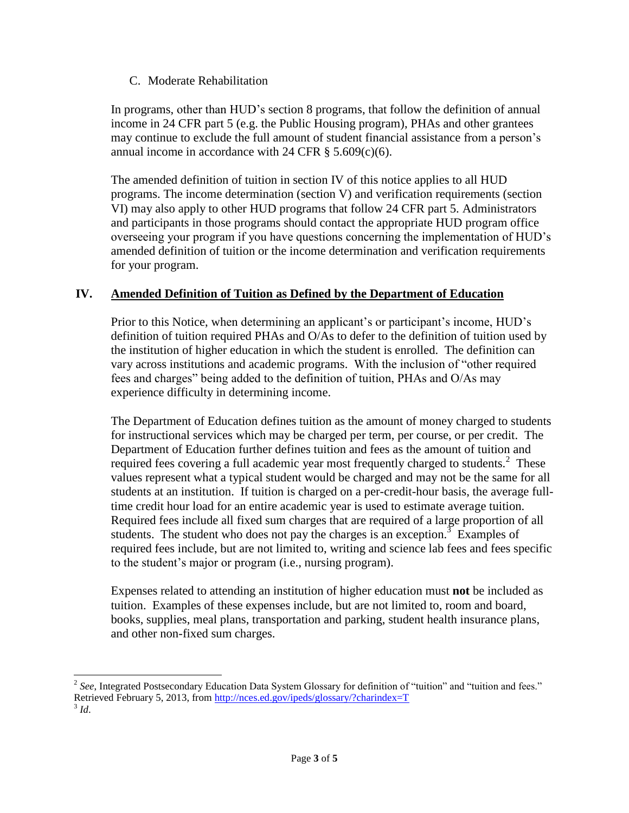#### C. Moderate Rehabilitation

In programs, other than HUD's section 8 programs, that follow the definition of annual income in 24 CFR part 5 (e.g. the Public Housing program), PHAs and other grantees may continue to exclude the full amount of student financial assistance from a person's annual income in accordance with 24 CFR  $\S$  5.609(c)(6).

The amended definition of tuition in section IV of this notice applies to all HUD programs. The income determination (section V) and verification requirements (section VI) may also apply to other HUD programs that follow 24 CFR part 5. Administrators and participants in those programs should contact the appropriate HUD program office overseeing your program if you have questions concerning the implementation of HUD's amended definition of tuition or the income determination and verification requirements for your program.

## **IV. Amended Definition of Tuition as Defined by the Department of Education**

Prior to this Notice, when determining an applicant's or participant's income, HUD's definition of tuition required PHAs and O/As to defer to the definition of tuition used by the institution of higher education in which the student is enrolled. The definition can vary across institutions and academic programs. With the inclusion of "other required fees and charges" being added to the definition of tuition, PHAs and O/As may experience difficulty in determining income.

The Department of Education defines tuition as the amount of money charged to students for instructional services which may be charged per term, per course, or per credit. The Department of Education further defines tuition and fees as the amount of tuition and required fees covering a full academic year most frequently charged to students. $2$  These values represent what a typical student would be charged and may not be the same for all students at an institution. If tuition is charged on a per-credit-hour basis, the average fulltime credit hour load for an entire academic year is used to estimate average tuition. Required fees include all fixed sum charges that are required of a large proportion of all students. The student who does not pay the charges is an exception.<sup>3</sup> Examples of required fees include, but are not limited to, writing and science lab fees and fees specific to the student's major or program (i.e., nursing program).

Expenses related to attending an institution of higher education must **not** be included as tuition. Examples of these expenses include, but are not limited to, room and board, books, supplies, meal plans, transportation and parking, student health insurance plans, and other non-fixed sum charges.

<sup>&</sup>lt;sup>2</sup> See, Integrated Postsecondary Education Data System Glossary for definition of "tuition" and "tuition and fees." Retrieved February 5, 2013, from<http://nces.ed.gov/ipeds/glossary/?charindex=T> 3 *Id*.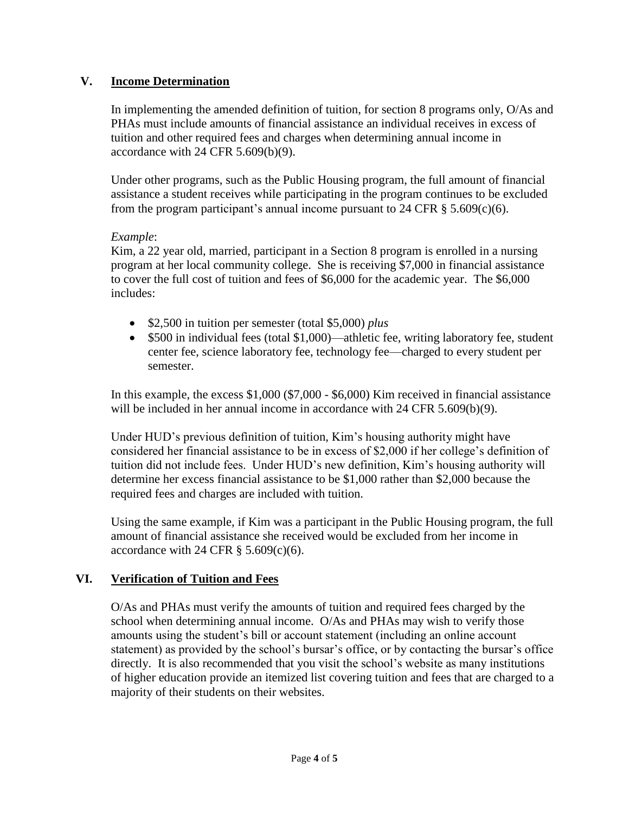# **V. Income Determination**

In implementing the amended definition of tuition, for section 8 programs only, O/As and PHAs must include amounts of financial assistance an individual receives in excess of tuition and other required fees and charges when determining annual income in accordance with 24 CFR 5.609(b)(9).

Under other programs, such as the Public Housing program, the full amount of financial assistance a student receives while participating in the program continues to be excluded from the program participant's annual income pursuant to 24 CFR  $\S$  5.609(c)(6).

#### *Example*:

Kim, a 22 year old, married, participant in a Section 8 program is enrolled in a nursing program at her local community college. She is receiving \$7,000 in financial assistance to cover the full cost of tuition and fees of \$6,000 for the academic year. The \$6,000 includes:

- \$2,500 in tuition per semester (total \$5,000) *plus*
- \$500 in individual fees (total \$1,000)—athletic fee, writing laboratory fee, student center fee, science laboratory fee, technology fee—charged to every student per semester.

In this example, the excess \$1,000 (\$7,000 - \$6,000) Kim received in financial assistance will be included in her annual income in accordance with 24 CFR 5.609(b)(9).

Under HUD's previous definition of tuition, Kim's housing authority might have considered her financial assistance to be in excess of \$2,000 if her college's definition of tuition did not include fees. Under HUD's new definition, Kim's housing authority will determine her excess financial assistance to be \$1,000 rather than \$2,000 because the required fees and charges are included with tuition.

Using the same example, if Kim was a participant in the Public Housing program, the full amount of financial assistance she received would be excluded from her income in accordance with 24 CFR  $\S$  5.609(c)(6).

# **VI. Verification of Tuition and Fees**

O/As and PHAs must verify the amounts of tuition and required fees charged by the school when determining annual income. O/As and PHAs may wish to verify those amounts using the student's bill or account statement (including an online account statement) as provided by the school's bursar's office, or by contacting the bursar's office directly. It is also recommended that you visit the school's website as many institutions of higher education provide an itemized list covering tuition and fees that are charged to a majority of their students on their websites.